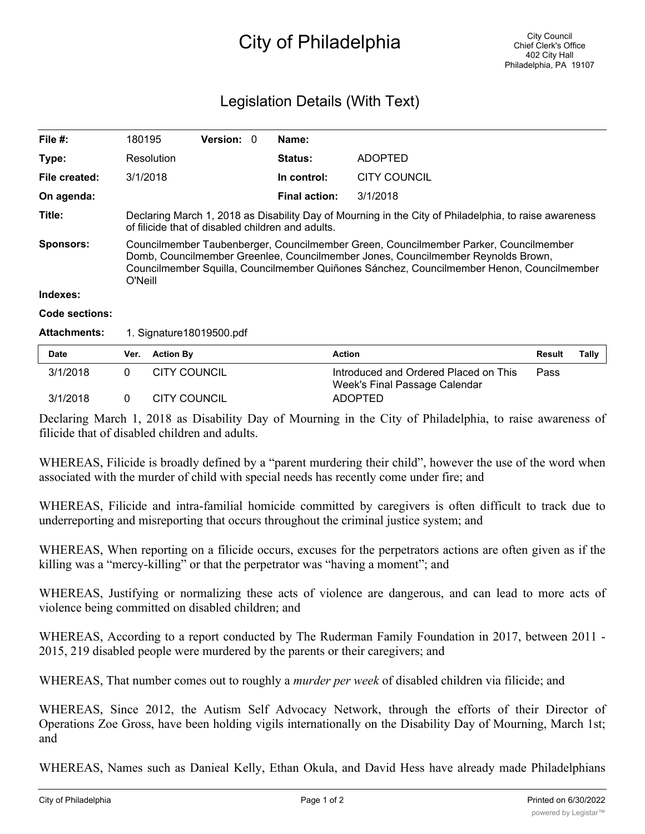## City of Philadelphia

## Legislation Details (With Text)

| File $#$ :          | 180195                                                                                                                                                                                                                                                                           |                     | <b>Version: 0</b> |  | Name:                |                                       |        |       |
|---------------------|----------------------------------------------------------------------------------------------------------------------------------------------------------------------------------------------------------------------------------------------------------------------------------|---------------------|-------------------|--|----------------------|---------------------------------------|--------|-------|
| Type:               |                                                                                                                                                                                                                                                                                  | Resolution          |                   |  | <b>Status:</b>       | <b>ADOPTED</b>                        |        |       |
| File created:       |                                                                                                                                                                                                                                                                                  | 3/1/2018            |                   |  | In control:          | <b>CITY COUNCIL</b>                   |        |       |
| On agenda:          |                                                                                                                                                                                                                                                                                  |                     |                   |  | <b>Final action:</b> | 3/1/2018                              |        |       |
| Title:              | Declaring March 1, 2018 as Disability Day of Mourning in the City of Philadelphia, to raise awareness<br>of filicide that of disabled children and adults.                                                                                                                       |                     |                   |  |                      |                                       |        |       |
| <b>Sponsors:</b>    | Councilmember Taubenberger, Councilmember Green, Councilmember Parker, Councilmember<br>Domb, Councilmember Greenlee, Councilmember Jones, Councilmember Reynolds Brown,<br>Councilmember Squilla, Councilmember Quiñones Sánchez, Councilmember Henon, Councilmember<br>O'Neill |                     |                   |  |                      |                                       |        |       |
| Indexes:            |                                                                                                                                                                                                                                                                                  |                     |                   |  |                      |                                       |        |       |
| Code sections:      |                                                                                                                                                                                                                                                                                  |                     |                   |  |                      |                                       |        |       |
| <b>Attachments:</b> | 1. Signature 18019500.pdf                                                                                                                                                                                                                                                        |                     |                   |  |                      |                                       |        |       |
| <b>Date</b>         | Ver.                                                                                                                                                                                                                                                                             | <b>Action By</b>    |                   |  | <b>Action</b>        |                                       | Result | Tally |
| 3/1/2018            | 0                                                                                                                                                                                                                                                                                | <b>CITY COUNCIL</b> |                   |  |                      | Introduced and Ordered Placed on This | Pass   |       |

Declaring March 1, 2018 as Disability Day of Mourning in the City of Philadelphia, to raise awareness of filicide that of disabled children and adults.

3/1/2018 0 CITY COUNCIL ADOPTED

Week's Final Passage Calendar

WHEREAS, Filicide is broadly defined by a "parent murdering their child", however the use of the word when associated with the murder of child with special needs has recently come under fire; and

WHEREAS, Filicide and intra-familial homicide committed by caregivers is often difficult to track due to underreporting and misreporting that occurs throughout the criminal justice system; and

WHEREAS, When reporting on a filicide occurs, excuses for the perpetrators actions are often given as if the killing was a "mercy-killing" or that the perpetrator was "having a moment"; and

WHEREAS, Justifying or normalizing these acts of violence are dangerous, and can lead to more acts of violence being committed on disabled children; and

WHEREAS, According to a report conducted by The Ruderman Family Foundation in 2017, between 2011 - 2015, 219 disabled people were murdered by the parents or their caregivers; and

WHEREAS, That number comes out to roughly a *murder per week* of disabled children via filicide; and

WHEREAS, Since 2012, the Autism Self Advocacy Network, through the efforts of their Director of Operations Zoe Gross, have been holding vigils internationally on the Disability Day of Mourning, March 1st; and

WHEREAS, Names such as Danieal Kelly, Ethan Okula, and David Hess have already made Philadelphians